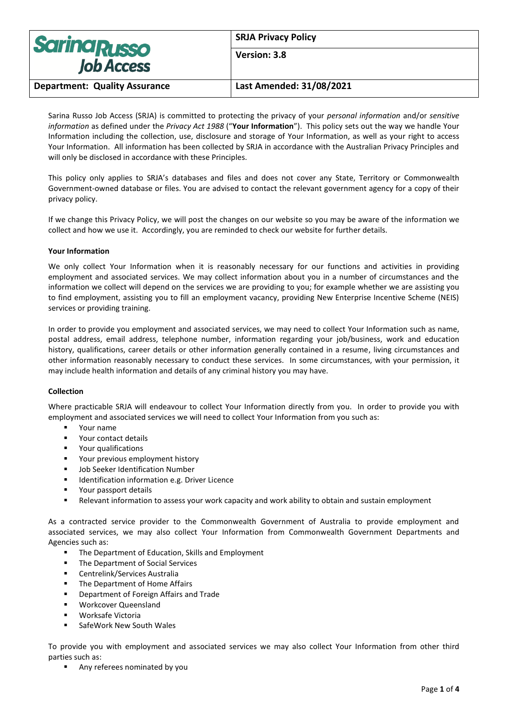| <b>Sarina Russo</b><br><b>Job Access</b> | <b>SRJA Privacy Policy</b> |
|------------------------------------------|----------------------------|
|                                          | Version: 3.8               |
| <b>Department: Quality Assurance</b>     | Last Amended: 31/08/2021   |

Sarina Russo Job Access (SRJA) is committed to protecting the privacy of your *personal information* and/or *sensitive information* as defined under the *Privacy Act 1988* ("**Your Information**"). This policy sets out the way we handle Your Information including the collection, use, disclosure and storage of Your Information, as well as your right to access Your Information. All information has been collected by SRJA in accordance with the Australian Privacy Principles and will only be disclosed in accordance with these Principles.

This policy only applies to SRJA's databases and files and does not cover any State, Territory or Commonwealth Government-owned database or files. You are advised to contact the relevant government agency for a copy of their privacy policy.

If we change this Privacy Policy, we will post the changes on our website so you may be aware of the information we collect and how we use it. Accordingly, you are reminded to check our website for further details.

## **Your Information**

We only collect Your Information when it is reasonably necessary for our functions and activities in providing employment and associated services. We may collect information about you in a number of circumstances and the information we collect will depend on the services we are providing to you; for example whether we are assisting you to find employment, assisting you to fill an employment vacancy, providing New Enterprise Incentive Scheme (NEIS) services or providing training.

In order to provide you employment and associated services, we may need to collect Your Information such as name, postal address, email address, telephone number, information regarding your job/business, work and education history, qualifications, career details or other information generally contained in a resume, living circumstances and other information reasonably necessary to conduct these services. In some circumstances, with your permission, it may include health information and details of any criminal history you may have.

## **Collection**

Where practicable SRJA will endeavour to collect Your Information directly from you. In order to provide you with employment and associated services we will need to collect Your Information from you such as:

- Your name
- Your contact details
- Your qualifications
- Your previous employment history
- Job Seeker Identification Number
- Identification information e.g. Driver Licence
- Your passport details
- Relevant information to assess your work capacity and work ability to obtain and sustain employment

As a contracted service provider to the Commonwealth Government of Australia to provide employment and associated services, we may also collect Your Information from Commonwealth Government Departments and Agencies such as:

- The Department of Education, Skills and Employment
- The Department of Social Services
- Centrelink/Services Australia
- The Department of Home Affairs
- Department of Foreign Affairs and Trade
- Workcover Queensland
- Worksafe Victoria
- SafeWork New South Wales

To provide you with employment and associated services we may also collect Your Information from other third parties such as:

Any referees nominated by you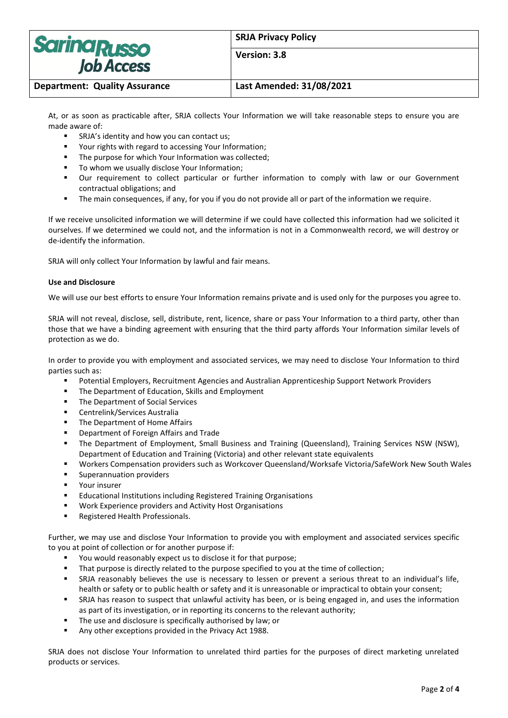| <b>Sarina Russo</b><br><b>Job Access</b> | <b>SRJA Privacy Policy</b> |
|------------------------------------------|----------------------------|
|                                          | Version: 3.8               |
| <b>Department: Quality Assurance</b>     | Last Amended: 31/08/2021   |

At, or as soon as practicable after, SRJA collects Your Information we will take reasonable steps to ensure you are made aware of:

- SRJA's identity and how you can contact us;
- Your rights with regard to accessing Your Information;
- The purpose for which Your Information was collected:
- To whom we usually disclose Your Information;
- Our requirement to collect particular or further information to comply with law or our Government contractual obligations; and
- The main consequences, if any, for you if you do not provide all or part of the information we require.

If we receive unsolicited information we will determine if we could have collected this information had we solicited it ourselves. If we determined we could not, and the information is not in a Commonwealth record, we will destroy or de-identify the information.

SRJA will only collect Your Information by lawful and fair means.

### **Use and Disclosure**

We will use our best efforts to ensure Your Information remains private and is used only for the purposes you agree to.

SRJA will not reveal, disclose, sell, distribute, rent, licence, share or pass Your Information to a third party, other than those that we have a binding agreement with ensuring that the third party affords Your Information similar levels of protection as we do.

In order to provide you with employment and associated services, we may need to disclose Your Information to third parties such as:

- Potential Employers, Recruitment Agencies and Australian Apprenticeship Support Network Providers
- The Department of Education, Skills and Employment
- The Department of Social Services
- Centrelink/Services Australia
- The Department of Home Affairs
- Department of Foreign Affairs and Trade
- The Department of Employment, Small Business and Training (Queensland), Training Services NSW (NSW), Department of Education and Training (Victoria) and other relevant state equivalents
- Workers Compensation providers such as Workcover Queensland/Worksafe Victoria/SafeWork New South Wales
- Superannuation providers
- Your insurer
- Educational Institutions including Registered Training Organisations
- Work Experience providers and Activity Host Organisations
- Registered Health Professionals.

Further, we may use and disclose Your Information to provide you with employment and associated services specific to you at point of collection or for another purpose if:

- You would reasonably expect us to disclose it for that purpose;
- That purpose is directly related to the purpose specified to you at the time of collection;
- SRJA reasonably believes the use is necessary to lessen or prevent a serious threat to an individual's life, health or safety or to public health or safety and it is unreasonable or impractical to obtain your consent;
- SRJA has reason to suspect that unlawful activity has been, or is being engaged in, and uses the information as part of its investigation, or in reporting its concerns to the relevant authority;
- The use and disclosure is specifically authorised by law; or
- Any other exceptions provided in the Privacy Act 1988.

SRJA does not disclose Your Information to unrelated third parties for the purposes of direct marketing unrelated products or services.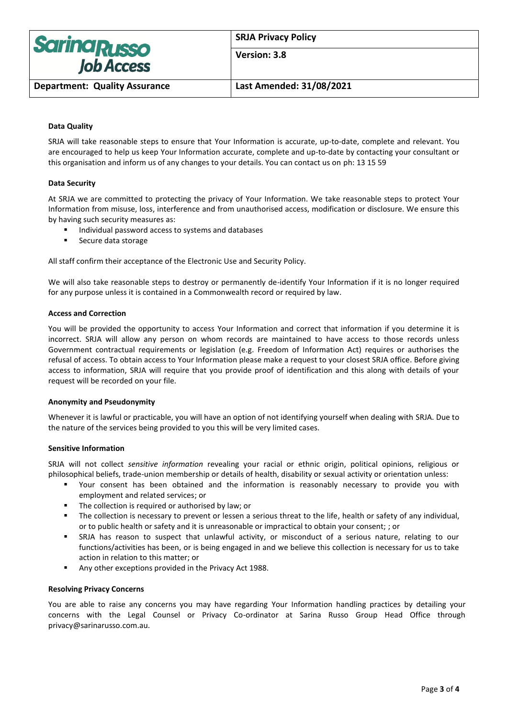

**SRJA Privacy Policy**

**Version: 3.8**

**Department: Quality Assurance Last Amended: 31/08/2021**

# **Data Quality**

SRJA will take reasonable steps to ensure that Your Information is accurate, up-to-date, complete and relevant. You are encouraged to help us keep Your Information accurate, complete and up-to-date by contacting your consultant or this organisation and inform us of any changes to your details. You can contact us on ph: 13 15 59

## **Data Security**

At SRJA we are committed to protecting the privacy of Your Information. We take reasonable steps to protect Your Information from misuse, loss, interference and from unauthorised access, modification or disclosure. We ensure this by having such security measures as:

- Individual password access to systems and databases
- Secure data storage

All staff confirm their acceptance of the Electronic Use and Security Policy.

We will also take reasonable steps to destroy or permanently de-identify Your Information if it is no longer required for any purpose unless it is contained in a Commonwealth record or required by law.

## **Access and Correction**

You will be provided the opportunity to access Your Information and correct that information if you determine it is incorrect. SRJA will allow any person on whom records are maintained to have access to those records unless Government contractual requirements or legislation (e.g. Freedom of Information Act) requires or authorises the refusal of access. To obtain access to Your Information please make a request to your closest SRJA office. Before giving access to information, SRJA will require that you provide proof of identification and this along with details of your request will be recorded on your file.

## **Anonymity and Pseudonymity**

Whenever it is lawful or practicable, you will have an option of not identifying yourself when dealing with SRJA. Due to the nature of the services being provided to you this will be very limited cases.

## **Sensitive Information**

SRJA will not collect *sensitive information* revealing your racial or ethnic origin, political opinions, religious or philosophical beliefs, trade-union membership or details of health, disability or sexual activity or orientation unless:

- Your consent has been obtained and the information is reasonably necessary to provide you with employment and related services; or
- The collection is required or authorised by law; or
- The collection is necessary to prevent or lessen a serious threat to the life, health or safety of any individual, or to public health or safety and it is unreasonable or impractical to obtain your consent; ; or
- SRJA has reason to suspect that unlawful activity, or misconduct of a serious nature, relating to our functions/activities has been, or is being engaged in and we believe this collection is necessary for us to take action in relation to this matter; or
- Any other exceptions provided in the Privacy Act 1988.

## **Resolving Privacy Concerns**

You are able to raise any concerns you may have regarding Your Information handling practices by detailing your concerns with the Legal Counsel or Privacy Co-ordinator at Sarina Russo Group Head Office through privacy@sarinarusso.com.au.